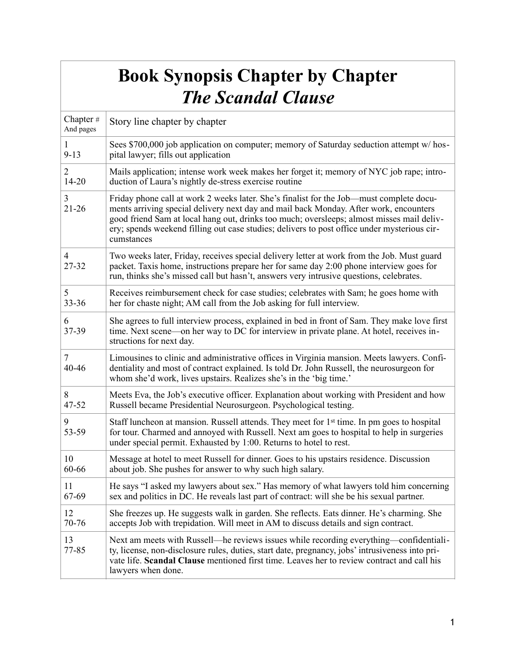## **Book Synopsis Chapter by Chapter**  *The Scandal Clause*

| Chapter#<br>And pages | Story line chapter by chapter                                                                                                                                                                                                                                                                                                                                                              |
|-----------------------|--------------------------------------------------------------------------------------------------------------------------------------------------------------------------------------------------------------------------------------------------------------------------------------------------------------------------------------------------------------------------------------------|
| $\mathbf{I}$          | Sees \$700,000 job application on computer; memory of Saturday seduction attempt w/hos-                                                                                                                                                                                                                                                                                                    |
| $9 - 13$              | pital lawyer; fills out application                                                                                                                                                                                                                                                                                                                                                        |
| $\overline{c}$        | Mails application; intense work week makes her forget it; memory of NYC job rape; intro-                                                                                                                                                                                                                                                                                                   |
| $14 - 20$             | duction of Laura's nightly de-stress exercise routine                                                                                                                                                                                                                                                                                                                                      |
| 3<br>$21 - 26$        | Friday phone call at work 2 weeks later. She's finalist for the Job—must complete docu-<br>ments arriving special delivery next day and mail back Monday. After work, encounters<br>good friend Sam at local hang out, drinks too much; oversleeps; almost misses mail deliv-<br>ery; spends weekend filling out case studies; delivers to post office under mysterious cir-<br>cumstances |
| 4<br>27-32            | Two weeks later, Friday, receives special delivery letter at work from the Job. Must guard<br>packet. Taxis home, instructions prepare her for same day 2:00 phone interview goes for<br>run, thinks she's missed call but hasn't, answers very intrusive questions, celebrates.                                                                                                           |
| 5                     | Receives reimbursement check for case studies; celebrates with Sam; he goes home with                                                                                                                                                                                                                                                                                                      |
| 33-36                 | her for chaste night; AM call from the Job asking for full interview.                                                                                                                                                                                                                                                                                                                      |
| 6<br>37-39            | She agrees to full interview process, explained in bed in front of Sam. They make love first<br>time. Next scene—on her way to DC for interview in private plane. At hotel, receives in-<br>structions for next day.                                                                                                                                                                       |
| 7<br>40-46            | Limousines to clinic and administrative offices in Virginia mansion. Meets lawyers. Confi-<br>dentiality and most of contract explained. Is told Dr. John Russell, the neurosurgeon for<br>whom she'd work, lives upstairs. Realizes she's in the 'big time.'                                                                                                                              |
| 8                     | Meets Eva, the Job's executive officer. Explanation about working with President and how                                                                                                                                                                                                                                                                                                   |
| 47-52                 | Russell became Presidential Neurosurgeon. Psychological testing.                                                                                                                                                                                                                                                                                                                           |
| 9<br>53-59            | Staff luncheon at mansion. Russell attends. They meet for 1 <sup>st</sup> time. In pm goes to hospital<br>for tour. Charmed and annoyed with Russell. Next am goes to hospital to help in surgeries<br>under special permit. Exhausted by 1:00. Returns to hotel to rest.                                                                                                                  |
| 10                    | Message at hotel to meet Russell for dinner. Goes to his upstairs residence. Discussion                                                                                                                                                                                                                                                                                                    |
| 60-66                 | about job. She pushes for answer to why such high salary.                                                                                                                                                                                                                                                                                                                                  |
| 11                    | He says "I asked my lawyers about sex." Has memory of what lawyers told him concerning                                                                                                                                                                                                                                                                                                     |
| 67-69                 | sex and politics in DC. He reveals last part of contract: will she be his sexual partner.                                                                                                                                                                                                                                                                                                  |
| 12                    | She freezes up. He suggests walk in garden. She reflects. Eats dinner. He's charming. She                                                                                                                                                                                                                                                                                                  |
| 70-76                 | accepts Job with trepidation. Will meet in AM to discuss details and sign contract.                                                                                                                                                                                                                                                                                                        |
| 13<br>77-85           | Next am meets with Russell—he reviews issues while recording everything—confidentiali-<br>ty, license, non-disclosure rules, duties, start date, pregnancy, jobs' intrusiveness into pri-<br>vate life. Scandal Clause mentioned first time. Leaves her to review contract and call his<br>lawyers when done.                                                                              |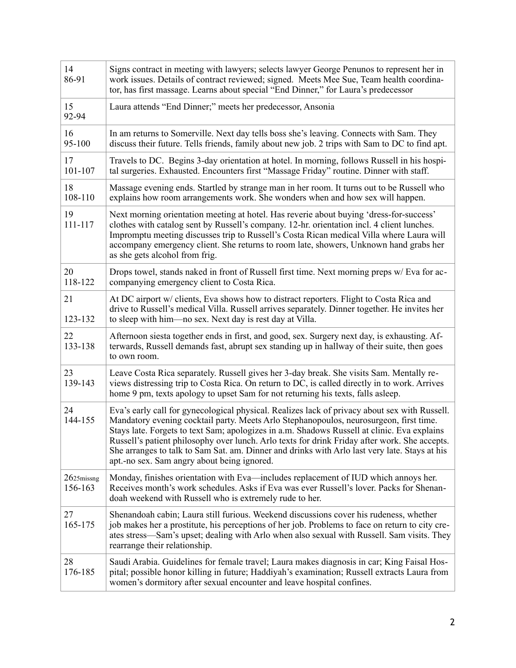| 14<br>86-91              | Signs contract in meeting with lawyers; selects lawyer George Penunos to represent her in<br>work issues. Details of contract reviewed; signed. Meets Mee Sue, Team health coordina-<br>tor, has first massage. Learns about special "End Dinner," for Laura's predecessor                                                                                                                                                                                                                                                              |
|--------------------------|-----------------------------------------------------------------------------------------------------------------------------------------------------------------------------------------------------------------------------------------------------------------------------------------------------------------------------------------------------------------------------------------------------------------------------------------------------------------------------------------------------------------------------------------|
| 15<br>92-94              | Laura attends "End Dinner;" meets her predecessor, Ansonia                                                                                                                                                                                                                                                                                                                                                                                                                                                                              |
| 16<br>95-100             | In am returns to Somerville. Next day tells boss she's leaving. Connects with Sam. They<br>discuss their future. Tells friends, family about new job. 2 trips with Sam to DC to find apt.                                                                                                                                                                                                                                                                                                                                               |
| 17<br>101-107            | Travels to DC. Begins 3-day orientation at hotel. In morning, follows Russell in his hospi-<br>tal surgeries. Exhausted. Encounters first "Massage Friday" routine. Dinner with staff.                                                                                                                                                                                                                                                                                                                                                  |
| 18<br>108-110            | Massage evening ends. Startled by strange man in her room. It turns out to be Russell who<br>explains how room arrangements work. She wonders when and how sex will happen.                                                                                                                                                                                                                                                                                                                                                             |
| 19<br>111-117            | Next morning orientation meeting at hotel. Has reverie about buying 'dress-for-success'<br>clothes with catalog sent by Russell's company. 12-hr. orientation incl. 4 client lunches.<br>Impromptu meeting discusses trip to Russell's Costa Rican medical Villa where Laura will<br>accompany emergency client. She returns to room late, showers, Unknown hand grabs her<br>as she gets alcohol from frig.                                                                                                                            |
| 20<br>118-122            | Drops towel, stands naked in front of Russell first time. Next morning preps w/Eva for ac-<br>companying emergency client to Costa Rica.                                                                                                                                                                                                                                                                                                                                                                                                |
| 21<br>123-132            | At DC airport w/ clients, Eva shows how to distract reporters. Flight to Costa Rica and<br>drive to Russell's medical Villa. Russell arrives separately. Dinner together. He invites her<br>to sleep with him—no sex. Next day is rest day at Villa.                                                                                                                                                                                                                                                                                    |
| 22<br>133-138            | Afternoon siesta together ends in first, and good, sex. Surgery next day, is exhausting. Af-<br>terwards, Russell demands fast, abrupt sex standing up in hallway of their suite, then goes<br>to own room.                                                                                                                                                                                                                                                                                                                             |
| 23<br>139-143            | Leave Costa Rica separately. Russell gives her 3-day break. She visits Sam. Mentally re-<br>views distressing trip to Costa Rica. On return to DC, is called directly in to work. Arrives<br>home 9 pm, texts apology to upset Sam for not returning his texts, falls asleep.                                                                                                                                                                                                                                                           |
| 24<br>144-155            | Eva's early call for gynecological physical. Realizes lack of privacy about sex with Russell.<br>Mandatory evening cocktail party. Meets Arlo Stephanopoulos, neurosurgeon, first time.<br>Stays late. Forgets to text Sam; apologizes in a.m. Shadows Russell at clinic. Eva explains<br>Russell's patient philosophy over lunch. Arlo texts for drink Friday after work. She accepts.<br>She arranges to talk to Sam Sat. am. Dinner and drinks with Arlo last very late. Stays at his<br>apt.-no sex. Sam angry about being ignored. |
| $2625$ missng<br>156-163 | Monday, finishes orientation with Eva-includes replacement of IUD which annoys her.<br>Receives month's work schedules. Asks if Eva was ever Russell's lover. Packs for Shenan-<br>doah weekend with Russell who is extremely rude to her.                                                                                                                                                                                                                                                                                              |
| 27<br>165-175            | Shenandoah cabin; Laura still furious. Weekend discussions cover his rudeness, whether<br>job makes her a prostitute, his perceptions of her job. Problems to face on return to city cre-<br>ates stress—Sam's upset; dealing with Arlo when also sexual with Russell. Sam visits. They<br>rearrange their relationship.                                                                                                                                                                                                                |
| 28<br>176-185            | Saudi Arabia. Guidelines for female travel; Laura makes diagnosis in car; King Faisal Hos-<br>pital; possible honor killing in future; Haddiyah's examination; Russell extracts Laura from<br>women's dormitory after sexual encounter and leave hospital confines.                                                                                                                                                                                                                                                                     |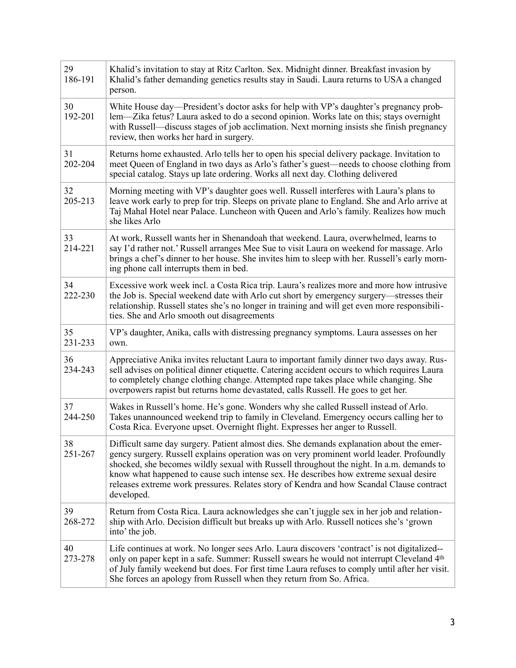| 29<br>186-191 | Khalid's invitation to stay at Ritz Carlton. Sex. Midnight dinner. Breakfast invasion by<br>Khalid's father demanding genetics results stay in Saudi. Laura returns to USA a changed<br>person.                                                                                                                                                                                                                                                                                    |
|---------------|------------------------------------------------------------------------------------------------------------------------------------------------------------------------------------------------------------------------------------------------------------------------------------------------------------------------------------------------------------------------------------------------------------------------------------------------------------------------------------|
| 30<br>192-201 | White House day—President's doctor asks for help with VP's daughter's pregnancy prob-<br>lem—Zika fetus? Laura asked to do a second opinion. Works late on this; stays overnight<br>with Russell—discuss stages of job acclimation. Next morning insists she finish pregnancy<br>review, then works her hard in surgery.                                                                                                                                                           |
| 31<br>202-204 | Returns home exhausted. Arlo tells her to open his special delivery package. Invitation to<br>meet Queen of England in two days as Arlo's father's guest—needs to choose clothing from<br>special catalog. Stays up late ordering. Works all next day. Clothing delivered                                                                                                                                                                                                          |
| 32<br>205-213 | Morning meeting with VP's daughter goes well. Russell interferes with Laura's plans to<br>leave work early to prep for trip. Sleeps on private plane to England. She and Arlo arrive at<br>Taj Mahal Hotel near Palace. Luncheon with Queen and Arlo's family. Realizes how much<br>she likes Arlo                                                                                                                                                                                 |
| 33<br>214-221 | At work, Russell wants her in Shenandoah that weekend. Laura, overwhelmed, learns to<br>say I'd rather not.' Russell arranges Mee Sue to visit Laura on weekend for massage. Arlo<br>brings a chef's dinner to her house. She invites him to sleep with her. Russell's early morn-<br>ing phone call interrupts them in bed.                                                                                                                                                       |
| 34<br>222-230 | Excessive work week incl. a Costa Rica trip. Laura's realizes more and more how intrusive<br>the Job is. Special weekend date with Arlo cut short by emergency surgery—stresses their<br>relationship. Russell states she's no longer in training and will get even more responsibili-<br>ties. She and Arlo smooth out disagreements                                                                                                                                              |
| 35<br>231-233 | VP's daughter, Anika, calls with distressing pregnancy symptoms. Laura assesses on her<br>own.                                                                                                                                                                                                                                                                                                                                                                                     |
| 36<br>234-243 | Appreciative Anika invites reluctant Laura to important family dinner two days away. Rus-<br>sell advises on political dinner etiquette. Catering accident occurs to which requires Laura<br>to completely change clothing change. Attempted rape takes place while changing. She<br>overpowers rapist but returns home devastated, calls Russell. He goes to get her.                                                                                                             |
| 37<br>244-250 | Wakes in Russell's home. He's gone. Wonders why she called Russell instead of Arlo.<br>Takes unannounced weekend trip to family in Cleveland. Emergency occurs calling her to<br>Costa Rica. Everyone upset. Overnight flight. Expresses her anger to Russell.                                                                                                                                                                                                                     |
| 38<br>251-267 | Difficult same day surgery. Patient almost dies. She demands explanation about the emer-<br>gency surgery. Russell explains operation was on very prominent world leader. Profoundly<br>shocked, she becomes wildly sexual with Russell throughout the night. In a.m. demands to<br>know what happened to cause such intense sex. He describes how extreme sexual desire<br>releases extreme work pressures. Relates story of Kendra and how Scandal Clause contract<br>developed. |
| 39<br>268-272 | Return from Costa Rica. Laura acknowledges she can't juggle sex in her job and relation-<br>ship with Arlo. Decision difficult but breaks up with Arlo. Russell notices she's 'grown<br>into' the job.                                                                                                                                                                                                                                                                             |
| 40<br>273-278 | Life continues at work. No longer sees Arlo. Laura discovers 'contract' is not digitalized--<br>only on paper kept in a safe. Summer: Russell swears he would not interrupt Cleveland 4th<br>of July family weekend but does. For first time Laura refuses to comply until after her visit.<br>She forces an apology from Russell when they return from So. Africa.                                                                                                                |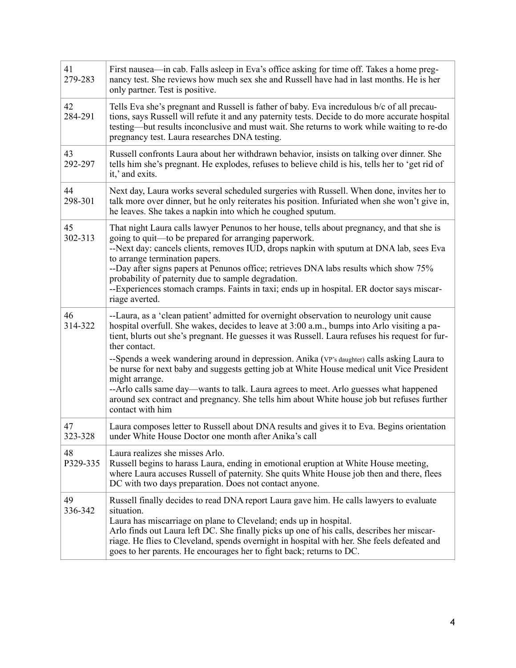| 41<br>279-283  | First nausea—in cab. Falls asleep in Eva's office asking for time off. Takes a home preg-<br>nancy test. She reviews how much sex she and Russell have had in last months. He is her<br>only partner. Test is positive.                                                                                                                                                                                                                                                                                                                                                                                                                                                                                                               |
|----------------|---------------------------------------------------------------------------------------------------------------------------------------------------------------------------------------------------------------------------------------------------------------------------------------------------------------------------------------------------------------------------------------------------------------------------------------------------------------------------------------------------------------------------------------------------------------------------------------------------------------------------------------------------------------------------------------------------------------------------------------|
| 42<br>284-291  | Tells Eva she's pregnant and Russell is father of baby. Eva incredulous b/c of all precau-<br>tions, says Russell will refute it and any paternity tests. Decide to do more accurate hospital<br>testing—but results inconclusive and must wait. She returns to work while waiting to re-do<br>pregnancy test. Laura researches DNA testing.                                                                                                                                                                                                                                                                                                                                                                                          |
| 43<br>292-297  | Russell confronts Laura about her withdrawn behavior, insists on talking over dinner. She<br>tells him she's pregnant. He explodes, refuses to believe child is his, tells her to 'get rid of<br>it,' and exits.                                                                                                                                                                                                                                                                                                                                                                                                                                                                                                                      |
| 44<br>298-301  | Next day, Laura works several scheduled surgeries with Russell. When done, invites her to<br>talk more over dinner, but he only reiterates his position. Infuriated when she won't give in,<br>he leaves. She takes a napkin into which he coughed sputum.                                                                                                                                                                                                                                                                                                                                                                                                                                                                            |
| 45<br>302-313  | That night Laura calls lawyer Penunos to her house, tells about pregnancy, and that she is<br>going to quit—to be prepared for arranging paperwork.<br>--Next day: cancels clients, removes IUD, drops napkin with sputum at DNA lab, sees Eva<br>to arrange termination papers.<br>--Day after signs papers at Penunos office; retrieves DNA labs results which show 75%<br>probability of paternity due to sample degradation.<br>--Experiences stomach cramps. Faints in taxi; ends up in hospital. ER doctor says miscar-<br>riage averted.                                                                                                                                                                                       |
| 46<br>314-322  | --Laura, as a 'clean patient' admitted for overnight observation to neurology unit cause<br>hospital overfull. She wakes, decides to leave at 3:00 a.m., bumps into Arlo visiting a pa-<br>tient, blurts out she's pregnant. He guesses it was Russell. Laura refuses his request for fur-<br>ther contact.<br>--Spends a week wandering around in depression. Anika (VP's daughter) calls asking Laura to<br>be nurse for next baby and suggests getting job at White House medical unit Vice President<br>might arrange.<br>--Arlo calls same day-wants to talk. Laura agrees to meet. Arlo guesses what happened<br>around sex contract and pregnancy. She tells him about White house job but refuses further<br>contact with him |
| 47<br>323-328  | Laura composes letter to Russell about DNA results and gives it to Eva. Begins orientation<br>under White House Doctor one month after Anika's call                                                                                                                                                                                                                                                                                                                                                                                                                                                                                                                                                                                   |
| 48<br>P329-335 | Laura realizes she misses Arlo.<br>Russell begins to harass Laura, ending in emotional eruption at White House meeting,<br>where Laura accuses Russell of paternity. She quits White House job then and there, flees<br>DC with two days preparation. Does not contact anyone.                                                                                                                                                                                                                                                                                                                                                                                                                                                        |
| 49<br>336-342  | Russell finally decides to read DNA report Laura gave him. He calls lawyers to evaluate<br>situation.<br>Laura has miscarriage on plane to Cleveland; ends up in hospital.<br>Arlo finds out Laura left DC. She finally picks up one of his calls, describes her miscar-<br>riage. He flies to Cleveland, spends overnight in hospital with her. She feels defeated and<br>goes to her parents. He encourages her to fight back; returns to DC.                                                                                                                                                                                                                                                                                       |